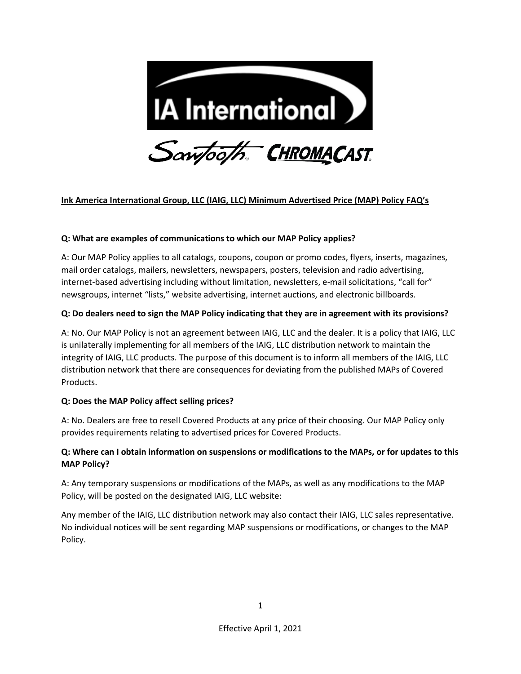

# **Ink America International Group, LLC (IAIG, LLC) Minimum Advertised Price (MAP) Policy FAQ's**

#### **Q: What are examples of communications to which our MAP Policy applies?**

A: Our MAP Policy applies to all catalogs, coupons, coupon or promo codes, flyers, inserts, magazines, mail order catalogs, mailers, newsletters, newspapers, posters, television and radio advertising, internet-based advertising including without limitation, newsletters, e-mail solicitations, "call for" newsgroups, internet "lists," website advertising, internet auctions, and electronic billboards.

#### **Q: Do dealers need to sign the MAP Policy indicating that they are in agreement with its provisions?**

A: No. Our MAP Policy is not an agreement between IAIG, LLC and the dealer. It is a policy that IAIG, LLC is unilaterally implementing for all members of the IAIG, LLC distribution network to maintain the integrity of IAIG, LLC products. The purpose of this document is to inform all members of the IAIG, LLC distribution network that there are consequences for deviating from the published MAPs of Covered Products.

#### **Q: Does the MAP Policy affect selling prices?**

A: No. Dealers are free to resell Covered Products at any price of their choosing. Our MAP Policy only provides requirements relating to advertised prices for Covered Products.

# **Q: Where can I obtain information on suspensions or modifications to the MAPs, or for updates to this MAP Policy?**

A: Any temporary suspensions or modifications of the MAPs, as well as any modifications to the MAP Policy, will be posted on the designated IAIG, LLC website:

Any member of the IAIG, LLC distribution network may also contact their IAIG, LLC sales representative. No individual notices will be sent regarding MAP suspensions or modifications, or changes to the MAP Policy.